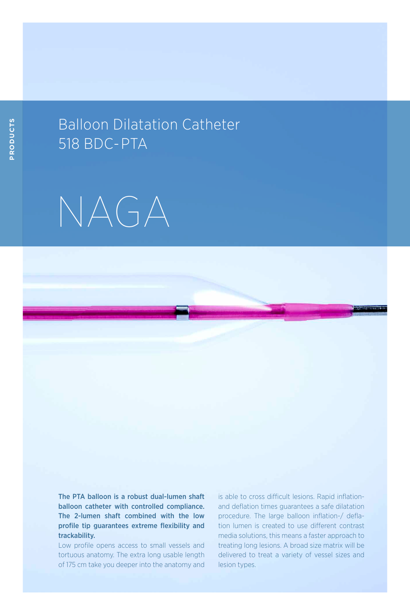## Balloon Dilatation Catheter 518 BDC- PTA



The PTA balloon is a robust dual-lumen shaft balloon catheter with controlled compliance. The 2-lumen shaft combined with the low profile tip guarantees extreme flexibility and trackability.

Low profile opens access to small vessels and tortuous anatomy. The extra long usable length of 175 cm take you deeper into the anatomy and is able to cross difficult lesions. Rapid inflationand deflation times guarantees a safe dilatation procedure. The large balloon inflation-/ deflation lumen is created to use different contrast media solutions, this means a faster approach to treating long lesions. A broad size matrix will be delivered to treat a variety of vessel sizes and lesion types.